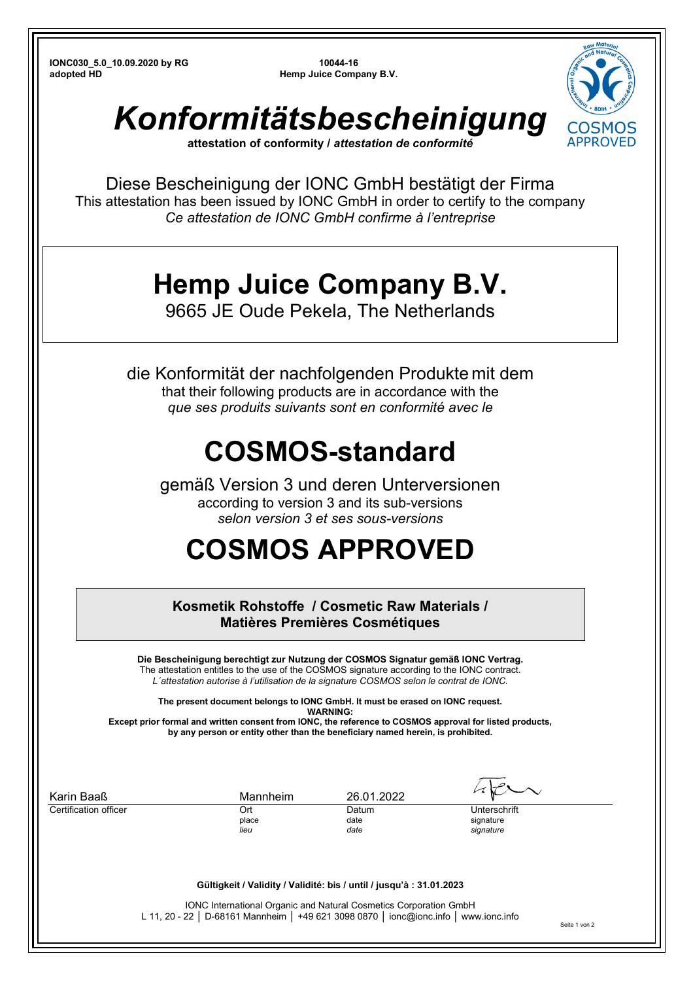**IONC030\_5.0\_10.09.2020 by RG 10044-16 adopted HD <b>Hemp Juice Company B.V. Hemp Juice Company B.V.** 



*Konformitätsbescheinigung*

**attestation of conformity /** *attestation de conformité*

Diese Bescheinigung der IONC GmbH bestätigt der Firma This attestation has been issued by IONC GmbH in order to certify to the company *Ce attestation de IONC GmbH confirme à l'entreprise*

## **Hemp Juice Company B.V.**

9665 JE Oude Pekela, The Netherlands

die Konformität der nachfolgenden Produkte mit dem that their following products are in accordance with the *que ses produits suivants sont en conformité avec le*

## **COSMOS-standard**

gemäß Version 3 und deren Unterversionen according to version 3 and its sub-versions *selon version 3 et ses sous-versions* 

## **COSMOS APPROVED**

**Kosmetik Rohstoffe / Cosmetic Raw Materials / Matières Premières Cosmétiques** 

**Die Bescheinigung berechtigt zur Nutzung der COSMOS Signatur gemäß IONC Vertrag.**  The attestation entitles to the use of the COSMOS signature according to the IONC contract. *L´attestation autorise à l'utilisation de la signature COSMOS selon le contrat de IONC.* 

**The present document belongs to IONC GmbH. It must be erased on IONC request. WADNING** 

**Except prior formal and written consent from IONC, the reference to COSMOS approval for listed products, by any person or entity other than the beneficiary named herein, is prohibited.** 

| Karin Baaß            | Mannheim | 26.01.2022 |              |
|-----------------------|----------|------------|--------------|
| Certification officer | Ort      | Datum      | Unterschrift |
|                       | place    | date       | signature    |
|                       | lieu     | date       | signature    |

## **Gültigkeit / Validity / Validité: bis / until / jusqu'à : 31.01.2023**

IONC International Organic and Natural Cosmetics Corporation GmbH L 11, 20 - 22 │ D-68161 Mannheim │ +49 621 3098 0870 │ ionc@ionc.info │ www.ionc.info